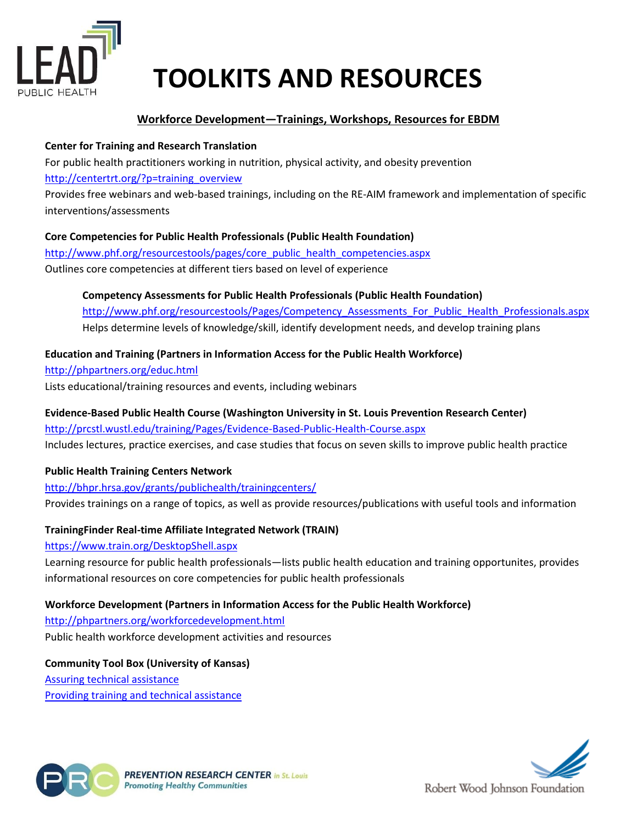

# **TOOLKITS AND RESOURCES**

# **Workforce Development—Trainings, Workshops, Resources for EBDM**

## **Center for Training and Research Translation**

For public health practitioners working in nutrition, physical activity, and obesity prevention [http://centertrt.org/?p=training\\_overview](http://centertrt.org/?p=training_overview)

Provides free webinars and web-based trainings, including on the RE-AIM framework and implementation of specific interventions/assessments

## **Core Competencies for Public Health Professionals (Public Health Foundation)**

[http://www.phf.org/resourcestools/pages/core\\_public\\_health\\_competencies.aspx](http://www.phf.org/resourcestools/pages/core_public_health_competencies.aspx) Outlines core competencies at different tiers based on level of experience

**Competency Assessments for Public Health Professionals (Public Health Foundation)** http://www.phf.org/resourcestools/Pages/Competency Assessments For Public Health Professionals.aspx Helps determine levels of knowledge/skill, identify development needs, and develop training plans

## **Education and Training (Partners in Information Access for the Public Health Workforce)**

<http://phpartners.org/educ.html> Lists educational/training resources and events, including webinars

# **Evidence-Based Public Health Course (Washington University in St. Louis Prevention Research Center)**

<http://prcstl.wustl.edu/training/Pages/Evidence-Based-Public-Health-Course.aspx> Includes lectures, practice exercises, and case studies that focus on seven skills to improve public health practice

# **Public Health Training Centers Network**

<http://bhpr.hrsa.gov/grants/publichealth/trainingcenters/> Provides trainings on a range of topics, as well as provide resources/publications with useful tools and information

# **TrainingFinder Real-time Affiliate Integrated Network (TRAIN)**

## <https://www.train.org/DesktopShell.aspx>

Learning resource for public health professionals—lists public health education and training opportunites, provides informational resources on core competencies for public health professionals

## **Workforce Development (Partners in Information Access for the Public Health Workforce)**

<http://phpartners.org/workforcedevelopment.html> Public health workforce development activities and resources

**Community Tool Box (University of Kansas)** [Assuring technical assistance](http://ctb.ku.edu/en/best-change-processes/assuring-technical-assistance/overview) [Providing training and technical assistance](http://ctb.ku.edu/en/table-of-contents/structure/training-and-technical-assistance/deliver-training-session/main)



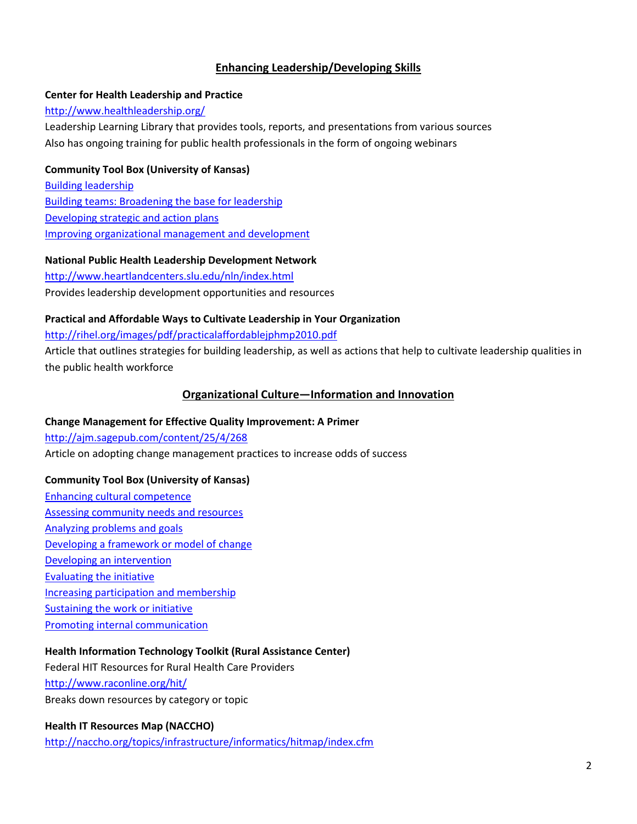## **Enhancing Leadership/Developing Skills**

#### **Center for Health Leadership and Practice**

#### <http://www.healthleadership.org/>

Leadership Learning Library that provides tools, reports, and presentations from various sources Also has ongoing training for public health professionals in the form of ongoing webinars

#### **Community Tool Box (University of Kansas)**

[Building leadership](http://ctb.ku.edu/en/6-building-leadership) [Building teams: Broadening the base for leadership](http://ctb.ku.edu/en/table-of-contents/leadership/leadership-ideas/team-building/main) [Developing strategic and action plans](http://ctb.ku.edu/en/5-developing-strategic-and-action-plans) [Improving organizational management and development](http://ctb.ku.edu/en/15-improving-organizational-management-and-development)

#### **National Public Health Leadership Development Network**

<http://www.heartlandcenters.slu.edu/nln/index.html> Provides leadership development opportunities and resources

#### **Practical and Affordable Ways to Cultivate Leadership in Your Organization**

<http://rihel.org/images/pdf/practicalaffordablejphmp2010.pdf>

Article that outlines strategies for building leadership, as well as actions that help to cultivate leadership qualities in the public health workforce

## **Organizational Culture—Information and Innovation**

#### **Change Management for Effective Quality Improvement: A Primer**

<http://ajm.sagepub.com/content/25/4/268> Article on adopting change management practices to increase odds of success

## **Community Tool Box (University of Kansas)**

[Enhancing cultural competence](http://ctb.ku.edu/en/9-enhancing-cultural-competence) [Assessing community needs and resources](http://ctb.ku.edu/en/assessing-community-needs-and-resources) [Analyzing problems and goals](http://ctb.ku.edu/en/3-analyzing-problems-and-goals) [Developing a framework or model of change](http://ctb.ku.edu/en/4-developing-framework-or-model-change) [Developing an intervention](http://ctb.ku.edu/en/7-developing-intervention) [Evaluating the initiative](http://ctb.ku.edu/en/12-evaluating-initiative) [Increasing participation and membership](http://ctb.ku.edu/en/increasing-participation-and-membership) [Sustaining the work or initiative](http://ctb.ku.edu/en/16-sustaining-work-or-initiative) [Promoting internal communication](http://ctb.ku.edu/en/table-of-contents/leadership/effective-manager/internal-communication/main)

## **Health Information Technology Toolkit (Rural Assistance Center)**

Federal HIT Resources for Rural Health Care Providers <http://www.raconline.org/hit/> Breaks down resources by category or topic

## **Health IT Resources Map (NACCHO)**

<http://naccho.org/topics/infrastructure/informatics/hitmap/index.cfm>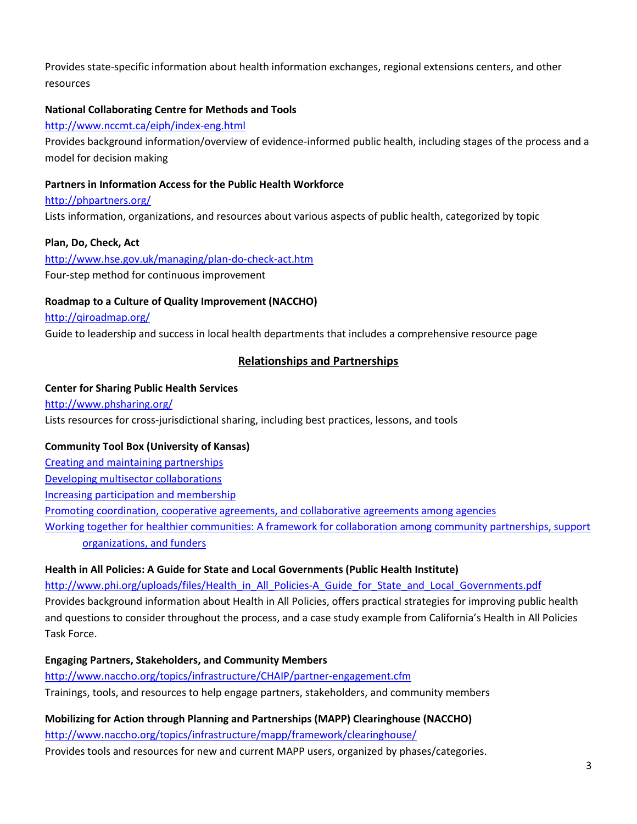Provides state-specific information about health information exchanges, regional extensions centers, and other resources

## **National Collaborating Centre for Methods and Tools**

#### <http://www.nccmt.ca/eiph/index-eng.html>

Provides background information/overview of evidence-informed public health, including stages of the process and a model for decision making

#### **Partners in Information Access for the Public Health Workforce**

<http://phpartners.org/>

Lists information, organizations, and resources about various aspects of public health, categorized by topic

#### **Plan, Do, Check, Act**

<http://www.hse.gov.uk/managing/plan-do-check-act.htm> Four-step method for continuous improvement

#### **Roadmap to a Culture of Quality Improvement (NACCHO)**

#### <http://qiroadmap.org/>

Guide to leadership and success in local health departments that includes a comprehensive resource page

#### **Relationships and Partnerships**

#### **Center for Sharing Public Health Services**

<http://www.phsharing.org/> Lists resources for cross-jurisdictional sharing, including best practices, lessons, and tools

#### **Community Tool Box (University of Kansas)**

[Creating and maintaining partnerships](http://ctb.ku.edu/en/creating-and-maintaining-partnerships) [Developing multisector collaborations](http://ctb.ku.edu/en/table-of-contents/implement/improving-services/multisector-collaboration/main) [Increasing participation and membership](http://ctb.ku.edu/en/8-increasing-participation-and-membership) [Promoting coordination, cooperative agreements, and collaborative agreements among agencies](http://ctb.ku.edu/en/table-of-contents/implement/improving-services/coordination-cooperation-collaboration/main) [Working together for healthier communities: A framework for collaboration among community partnerships, support](http://ctb.ku.edu/en/table-of-contents/overview/model-for-community-change-and-improvement/framework-for-collaboration/main)  [organizations, and funders](http://ctb.ku.edu/en/table-of-contents/overview/model-for-community-change-and-improvement/framework-for-collaboration/main)

#### **Health in All Policies: A Guide for State and Local Governments (Public Health Institute)**

[http://www.phi.org/uploads/files/Health\\_in\\_All\\_Policies-A\\_Guide\\_for\\_State\\_and\\_Local\\_Governments.pdf](http://www.phi.org/uploads/files/Health_in_All_Policies-A_Guide_for_State_and_Local_Governments.pdf) Provides background information about Health in All Policies, offers practical strategies for improving public health and questions to consider throughout the process, and a case study example from California's Health in All Policies Task Force.

#### **Engaging Partners, Stakeholders, and Community Members**

<http://www.naccho.org/topics/infrastructure/CHAIP/partner-engagement.cfm> Trainings, tools, and resources to help engage partners, stakeholders, and community members

**Mobilizing for Action through Planning and Partnerships (MAPP) Clearinghouse (NACCHO)** <http://www.naccho.org/topics/infrastructure/mapp/framework/clearinghouse/> Provides tools and resources for new and current MAPP users, organized by phases/categories.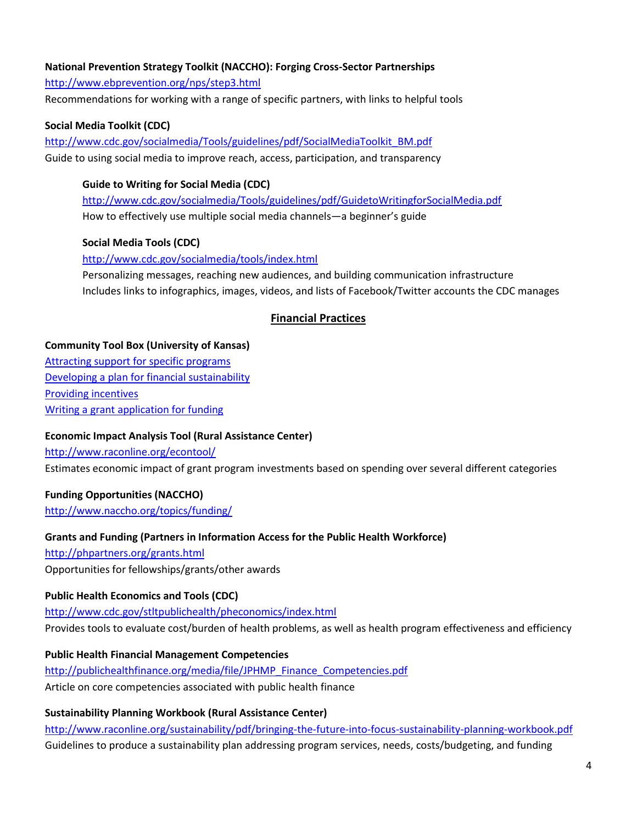# **National Prevention Strategy Toolkit (NACCHO): Forging Cross-Sector Partnerships**

<http://www.ebprevention.org/nps/step3.html>

Recommendations for working with a range of specific partners, with links to helpful tools

## **Social Media Toolkit (CDC)**

[http://www.cdc.gov/socialmedia/Tools/guidelines/pdf/SocialMediaToolkit\\_BM.pdf](http://www.cdc.gov/socialmedia/Tools/guidelines/pdf/SocialMediaToolkit_BM.pdf) Guide to using social media to improve reach, access, participation, and transparency

## **Guide to Writing for Social Media (CDC)**

<http://www.cdc.gov/socialmedia/Tools/guidelines/pdf/GuidetoWritingforSocialMedia.pdf> How to effectively use multiple social media channels—a beginner's guide

## **Social Media Tools (CDC)**

<http://www.cdc.gov/socialmedia/tools/index.html> Personalizing messages, reaching new audiences, and building communication infrastructure Includes links to infographics, images, videos, and lists of Facebook/Twitter accounts the CDC manages

# **Financial Practices**

#### **Community Tool Box (University of Kansas)**

[Attracting support for specific programs](http://ctb.ku.edu/en/table-of-contents/sustain/long-term-institutionalization/attract-support/main) [Developing a plan for financial sustainability](http://ctb.ku.edu/en/table-of-contents/finances/grants-and-financial-resources/financial-sustainability/main) [Providing incentives](http://ctb.ku.edu/en/table-of-contents/maintain/reward-accomplishments/staff-volunteer-incentives/main) [Writing a grant application for funding](http://ctb.ku.edu/en/14-writing-grant-application-funding-0)

## **Economic Impact Analysis Tool (Rural Assistance Center)**

<http://www.raconline.org/econtool/>

Estimates economic impact of grant program investments based on spending over several different categories

## **Funding Opportunities (NACCHO)**

<http://www.naccho.org/topics/funding/>

## **Grants and Funding (Partners in Information Access for the Public Health Workforce)**

<http://phpartners.org/grants.html>

Opportunities for fellowships/grants/other awards

## **Public Health Economics and Tools (CDC)**

<http://www.cdc.gov/stltpublichealth/pheconomics/index.html> Provides tools to evaluate cost/burden of health problems, as well as health program effectiveness and efficiency

## **Public Health Financial Management Competencies**

[http://publichealthfinance.org/media/file/JPHMP\\_Finance\\_Competencies.pdf](http://publichealthfinance.org/media/file/JPHMP_Finance_Competencies.pdf) Article on core competencies associated with public health finance

## **Sustainability Planning Workbook (Rural Assistance Center)**

<http://www.raconline.org/sustainability/pdf/bringing-the-future-into-focus-sustainability-planning-workbook.pdf> Guidelines to produce a sustainability plan addressing program services, needs, costs/budgeting, and funding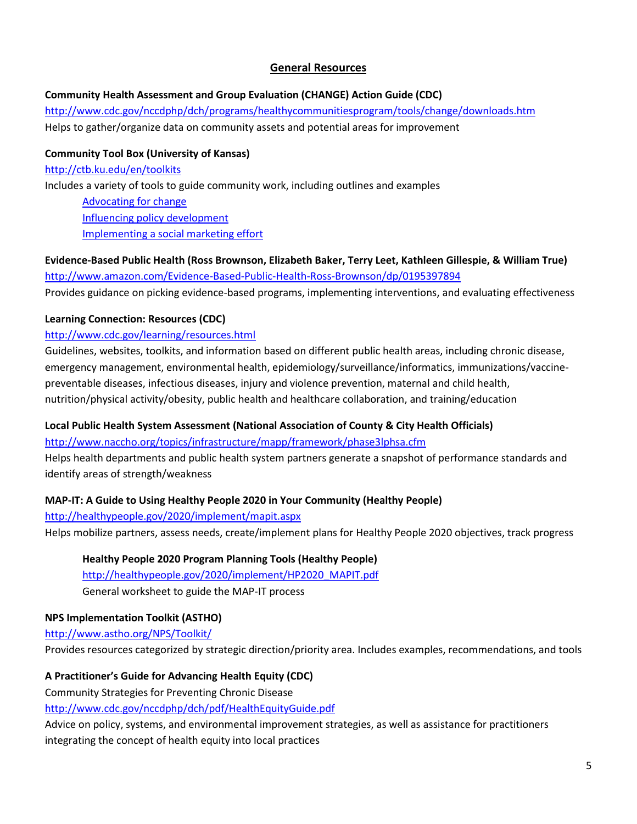# **General Resources**

# **Community Health Assessment and Group Evaluation (CHANGE) Action Guide (CDC)**

<http://www.cdc.gov/nccdphp/dch/programs/healthycommunitiesprogram/tools/change/downloads.htm> Helps to gather/organize data on community assets and potential areas for improvement

**Community Tool Box (University of Kansas)** <http://ctb.ku.edu/en/toolkits> Includes a variety of tools to guide community work, including outlines and examples [Advocating for change](http://ctb.ku.edu/en/10-advocating-change) [Influencing policy development](http://ctb.ku.edu/en/11-influencing-policy-development) [Implementing a social marketing effort](http://ctb.ku.edu/en/13-implementing-social-marketing-effort)

## **Evidence-Based Public Health (Ross Brownson, Elizabeth Baker, Terry Leet, Kathleen Gillespie, & William True)** <http://www.amazon.com/Evidence-Based-Public-Health-Ross-Brownson/dp/0195397894>

Provides guidance on picking evidence-based programs, implementing interventions, and evaluating effectiveness

## **Learning Connection: Resources (CDC)**

## <http://www.cdc.gov/learning/resources.html>

Guidelines, websites, toolkits, and information based on different public health areas, including chronic disease, emergency management, environmental health, epidemiology/surveillance/informatics, immunizations/vaccinepreventable diseases, infectious diseases, injury and violence prevention, maternal and child health, nutrition/physical activity/obesity, public health and healthcare collaboration, and training/education

# **Local Public Health System Assessment (National Association of County & City Health Officials)**

<http://www.naccho.org/topics/infrastructure/mapp/framework/phase3lphsa.cfm>

Helps health departments and public health system partners generate a snapshot of performance standards and identify areas of strength/weakness

# **MAP-IT: A Guide to Using Healthy People 2020 in Your Community (Healthy People)**

<http://healthypeople.gov/2020/implement/mapit.aspx> Helps mobilize partners, assess needs, create/implement plans for Healthy People 2020 objectives, track progress

# **Healthy People 2020 Program Planning Tools (Healthy People)**

[http://healthypeople.gov/2020/implement/HP2020\\_MAPIT.pdf](http://healthypeople.gov/2020/implement/HP2020_MAPIT.pdf) General worksheet to guide the MAP-IT process

# **NPS Implementation Toolkit (ASTHO)**

<http://www.astho.org/NPS/Toolkit/>

Provides resources categorized by strategic direction/priority area. Includes examples, recommendations, and tools

# **A Practitioner's Guide for Advancing Health Equity (CDC)**

Community Strategies for Preventing Chronic Disease

<http://www.cdc.gov/nccdphp/dch/pdf/HealthEquityGuide.pdf>

Advice on policy, systems, and environmental improvement strategies, as well as assistance for practitioners integrating the concept of health equity into local practices